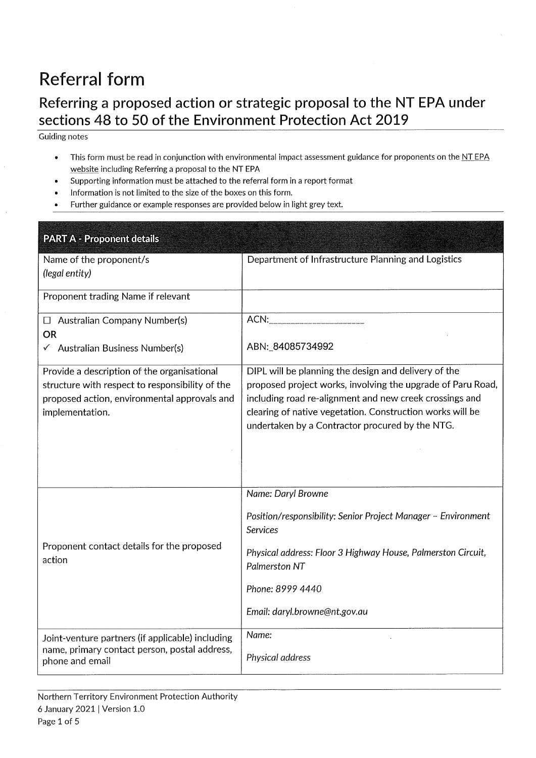## Referral form

## Referring a proposed action or strategic proposal to the NT EPA under sections 48 to 50 of the Environment Protection Act 2019

Guiding notes

- This form must be read in conjunction with environmental impact assessment guidance for proponents on the NT EPA  $\bullet$ website including Referring a proposal to the NT EPA
- Supporting information must be attached to the referral form in a report format  $\bullet$
- Information is not limited to the size of the boxes on this form.
- Further guidance or example responses are provided below in light grey text.

| <b>PART A - Proponent details</b>                                                                                                                                 |                                                                                                                                                                                                                                                                                                |
|-------------------------------------------------------------------------------------------------------------------------------------------------------------------|------------------------------------------------------------------------------------------------------------------------------------------------------------------------------------------------------------------------------------------------------------------------------------------------|
| Name of the proponent/s<br>(legal entity)                                                                                                                         | Department of Infrastructure Planning and Logistics                                                                                                                                                                                                                                            |
| Proponent trading Name if relevant                                                                                                                                |                                                                                                                                                                                                                                                                                                |
| $\Box$ Australian Company Number(s)<br><b>OR</b>                                                                                                                  | ACN:<br>ABN: 84085734992                                                                                                                                                                                                                                                                       |
| $\checkmark$ Australian Business Number(s)                                                                                                                        |                                                                                                                                                                                                                                                                                                |
| Provide a description of the organisational<br>structure with respect to responsibility of the<br>proposed action, environmental approvals and<br>implementation. | DIPL will be planning the design and delivery of the<br>proposed project works, involving the upgrade of Paru Road,<br>including road re-alignment and new creek crossings and<br>clearing of native vegetation. Construction works will be<br>undertaken by a Contractor procured by the NTG. |
| Proponent contact details for the proposed<br>action                                                                                                              | Name: Daryl Browne<br>Position/responsibility: Senior Project Manager - Environment<br><b>Services</b><br>Physical address: Floor 3 Highway House, Palmerston Circuit,<br>Palmerston NT<br>Phone: 8999 4440<br>Email: daryl.browne@nt.gov.au                                                   |
| Joint-venture partners (if applicable) including<br>name, primary contact person, postal address,<br>phone and email                                              | Name:<br>Physical address                                                                                                                                                                                                                                                                      |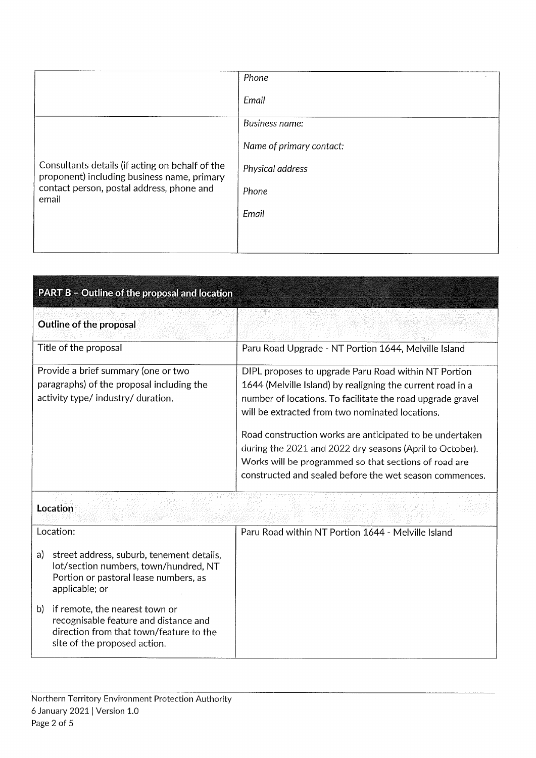|                                                                                                                                                      | Phone                    |
|------------------------------------------------------------------------------------------------------------------------------------------------------|--------------------------|
|                                                                                                                                                      | Email                    |
| Consultants details (if acting on behalf of the<br>proponent) including business name, primary<br>contact person, postal address, phone and<br>email | Business name:           |
|                                                                                                                                                      | Name of primary contact: |
|                                                                                                                                                      | Physical address         |
|                                                                                                                                                      | Phone                    |
|                                                                                                                                                      | Email                    |
|                                                                                                                                                      |                          |
|                                                                                                                                                      |                          |

| Outline of the proposal                                                                                                |                                                                                                                                                                                                                                                                                                                                                             |
|------------------------------------------------------------------------------------------------------------------------|-------------------------------------------------------------------------------------------------------------------------------------------------------------------------------------------------------------------------------------------------------------------------------------------------------------------------------------------------------------|
|                                                                                                                        |                                                                                                                                                                                                                                                                                                                                                             |
| Title of the proposal                                                                                                  | Paru Road Upgrade - NT Portion 1644, Melville Island                                                                                                                                                                                                                                                                                                        |
| Provide a brief summary (one or two<br>paragraphs) of the proposal including the<br>activity type/ industry/ duration. | DIPL proposes to upgrade Paru Road within NT Portion<br>1644 (Melville Island) by realigning the current road in a<br>number of locations. To facilitate the road upgrade gravel<br>will be extracted from two nominated locations.<br>Road construction works are anticipated to be undertaken<br>during the 2021 and 2022 dry seasons (April to October). |
| .ocation                                                                                                               | Works will be programmed so that sections of road are<br>constructed and sealed before the wet season commences.                                                                                                                                                                                                                                            |

|    |                                                                                                                                                    |                                                    | and a state |
|----|----------------------------------------------------------------------------------------------------------------------------------------------------|----------------------------------------------------|-------------|
|    | Location:                                                                                                                                          | Paru Road within NT Portion 1644 - Melville Island |             |
| a) | street address, suburb, tenement details,<br>lot/section numbers, town/hundred, NT<br>Portion or pastoral lease numbers, as<br>applicable; or      |                                                    |             |
| b) | if remote, the nearest town or<br>recognisable feature and distance and<br>direction from that town/feature to the<br>site of the proposed action. |                                                    |             |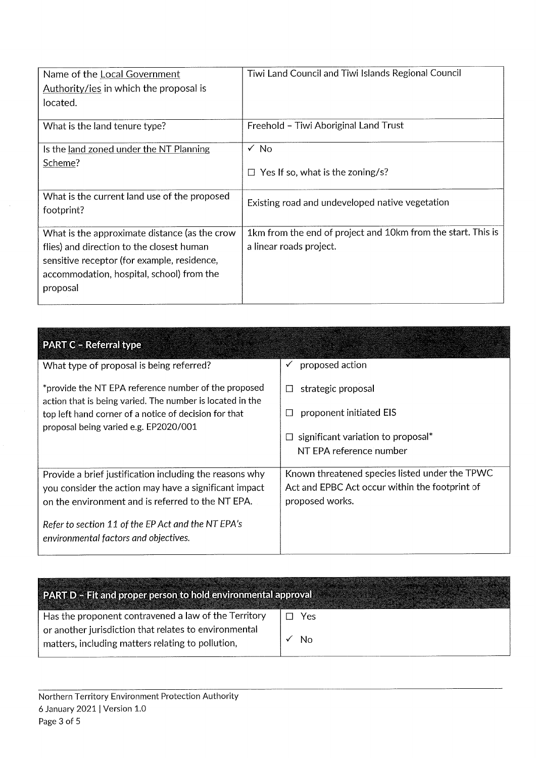| Name of the Local Government<br>Authority/ies in which the proposal is<br>located.                                                                                                                 | Tiwi Land Council and Tiwi Islands Regional Council                                     |
|----------------------------------------------------------------------------------------------------------------------------------------------------------------------------------------------------|-----------------------------------------------------------------------------------------|
| What is the land tenure type?                                                                                                                                                                      | Freehold - Tiwi Aboriginal Land Trust                                                   |
| Is the land zoned under the NT Planning<br>Scheme?                                                                                                                                                 | <b>No</b><br>$\checkmark$<br>Yes If so, what is the zoning/s?<br>$\Box$                 |
| What is the current land use of the proposed<br>footprint?                                                                                                                                         | Existing road and undeveloped native vegetation                                         |
| What is the approximate distance (as the crow<br>flies) and direction to the closest human<br>sensitive receptor (for example, residence,<br>accommodation, hospital, school) from the<br>proposal | 1km from the end of project and 10km from the start. This is<br>a linear roads project. |

| <b>PART C - Referral type</b>                                                                                     |                                                |
|-------------------------------------------------------------------------------------------------------------------|------------------------------------------------|
| What type of proposal is being referred?                                                                          | proposed action<br>v                           |
| *provide the NT EPA reference number of the proposed<br>action that is being varied. The number is located in the | strategic proposal<br>$\Box$                   |
| top left hand corner of a notice of decision for that<br>proposal being varied e.g. EP2020/001                    | proponent initiated EIS                        |
|                                                                                                                   | significant variation to proposal*             |
|                                                                                                                   | NT FPA reference number                        |
| Provide a brief justification including the reasons why                                                           | Known threatened species listed under the TPWC |
| you consider the action may have a significant impact                                                             | Act and EPBC Act occur within the footprint of |
| on the environment and is referred to the NT EPA.                                                                 | proposed works.                                |
| Refer to section 11 of the EP Act and the NT EPA's<br>environmental factors and objectives.                       |                                                |

| <b>PART D - Fit and proper person to hold environmental approval</b>                                       |     |
|------------------------------------------------------------------------------------------------------------|-----|
| Has the proponent contravened a law of the Territory                                                       | Yes |
| or another jurisdiction that relates to environmental<br>matters, including matters relating to pollution, | No  |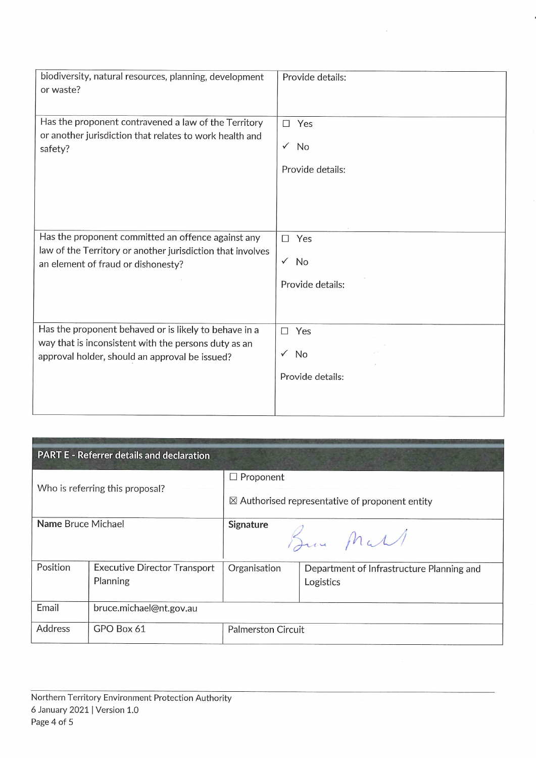| biodiversity, natural resources, planning, development     | Provide details:   |
|------------------------------------------------------------|--------------------|
| or waste?                                                  |                    |
|                                                            |                    |
|                                                            |                    |
| Has the proponent contravened a law of the Territory       | $\square$ Yes      |
| or another jurisdiction that relates to work health and    |                    |
| safety?                                                    | $\checkmark$<br>No |
|                                                            |                    |
|                                                            | Provide details:   |
|                                                            |                    |
|                                                            |                    |
|                                                            |                    |
|                                                            |                    |
|                                                            |                    |
| Has the proponent committed an offence against any         | Yes<br>$\Box$      |
| law of the Territory or another jurisdiction that involves |                    |
| an element of fraud or dishonesty?                         | No<br>$\checkmark$ |
|                                                            |                    |
|                                                            | Provide details:   |
|                                                            |                    |
|                                                            |                    |
|                                                            |                    |
| Has the proponent behaved or is likely to behave in a      | Yes<br>$\Box$      |
|                                                            |                    |
| way that is inconsistent with the persons duty as an       | No<br>$\checkmark$ |
| approval holder, should an approval be issued?             |                    |
|                                                            | Provide details:   |
|                                                            |                    |
|                                                            |                    |
|                                                            |                    |
|                                                            |                    |

| <b>PART E - Referrer details and declaration</b> |                                     |                                                           |                                           |
|--------------------------------------------------|-------------------------------------|-----------------------------------------------------------|-------------------------------------------|
| Who is referring this proposal?                  |                                     | $\Box$ Proponent                                          |                                           |
|                                                  |                                     | $\boxtimes$ Authorised representative of proponent entity |                                           |
| Name Bruce Michael                               |                                     | Signature                                                 | Bun Mars                                  |
|                                                  |                                     |                                                           |                                           |
| Position                                         | <b>Executive Director Transport</b> | Organisation                                              | Department of Infrastructure Planning and |
|                                                  | Planning                            |                                                           | Logistics                                 |
|                                                  |                                     |                                                           |                                           |
| Email                                            | bruce.michael@nt.gov.au             |                                                           |                                           |
| Address                                          | GPO Box 61                          | <b>Palmerston Circuit</b>                                 |                                           |